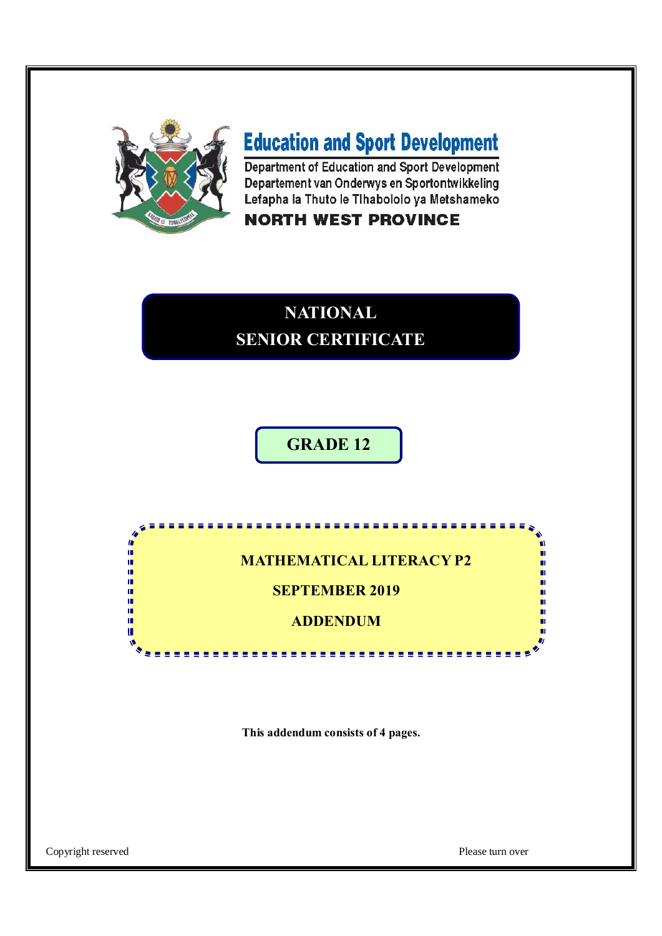

# **Education and Sport Development**

Department of Education and Sport Development Departement van Onderwys en Sportontwikkeling Lefapha la Thuto le Tihabololo ya Metshameko

### **NORTH WEST PROVINCE**

## **NATIONAL SENIOR CERTIFICATE**

### **GRADE 12**

**MATHEMATICAL LITERACY P2**

 $= 1.5$ 

**SEPTEMBER 2019**

**ADDENDUM**

--------------

**This addendum consists of 4 pages.**

Copyright reserved Please turn over

医皮肤病

ú, ı. ú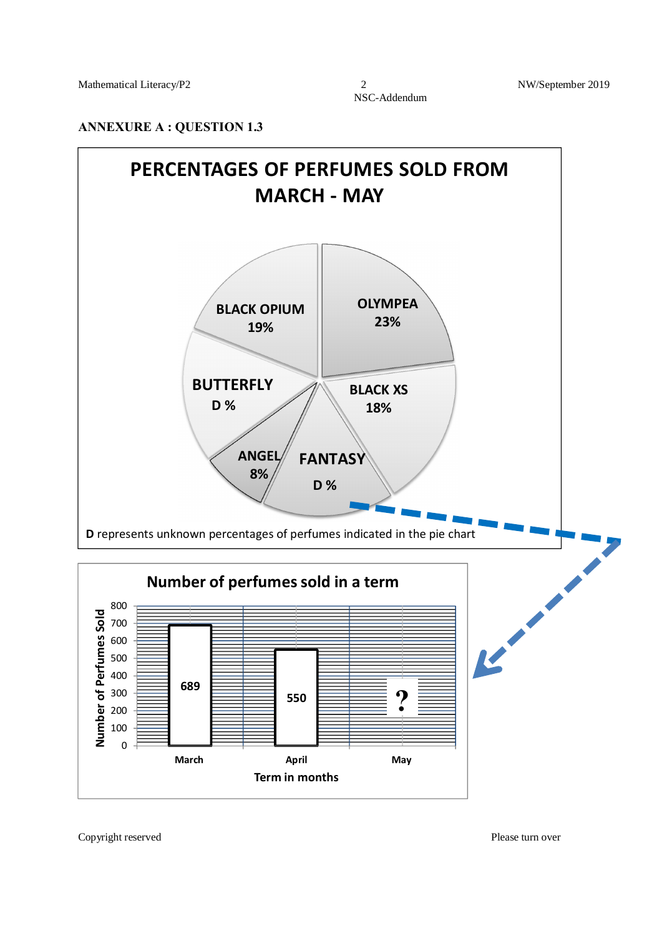#### **ANNEXURE A : QUESTION 1.3**

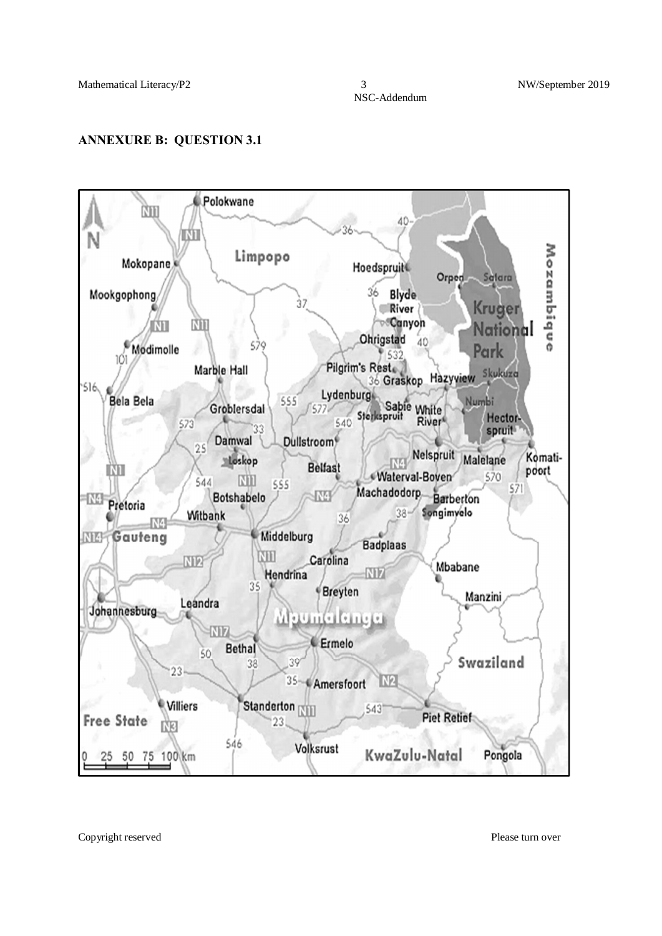NSC-Addendum

#### **ANNEXURE B: QUESTION 3.1**



Copyright reserved Please turn over